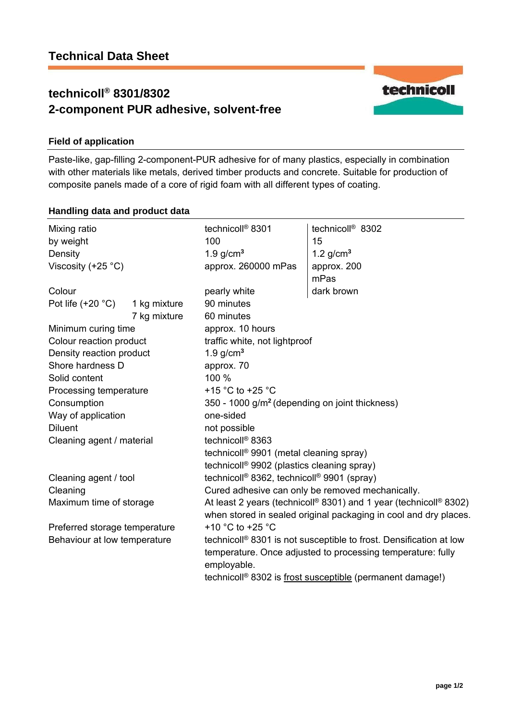# **technicoll® 8301/8302 2-component PUR adhesive, solvent-free**



# **Field of application**

Paste-like, gap-filling 2-component-PUR adhesive for of many plastics, especially in combination with other materials like metals, derived timber products and concrete. Suitable for production of composite panels made of a core of rigid foam with all different types of coating.

# **Handling data and product data**

| Mixing ratio<br>by weight<br>Density<br>Viscosity $(+25 °C)$                                                                                                                                                                  |                              | technicoll <sup>®</sup> 8301<br>100<br>1.9 $g/cm3$<br>approx. 260000 mPas                                                                                                                                                                                                                                                                                                                                                                                                                                                                                                  | technicoll <sup>®</sup> 8302<br>15<br>1.2 $g/cm3$<br>approx. 200<br>mPas |  |
|-------------------------------------------------------------------------------------------------------------------------------------------------------------------------------------------------------------------------------|------------------------------|----------------------------------------------------------------------------------------------------------------------------------------------------------------------------------------------------------------------------------------------------------------------------------------------------------------------------------------------------------------------------------------------------------------------------------------------------------------------------------------------------------------------------------------------------------------------------|--------------------------------------------------------------------------|--|
| Colour<br>Pot life $(+20 °C)$                                                                                                                                                                                                 | 1 kg mixture<br>7 kg mixture | pearly white<br>90 minutes<br>60 minutes                                                                                                                                                                                                                                                                                                                                                                                                                                                                                                                                   | dark brown                                                               |  |
| Minimum curing time<br>Colour reaction product<br>Density reaction product<br>Shore hardness D<br>Solid content<br>Processing temperature<br>Consumption<br>Way of application<br><b>Diluent</b><br>Cleaning agent / material |                              | approx. 10 hours<br>traffic white, not lightproof<br>$1.9$ g/cm <sup>3</sup><br>approx. 70<br>100 %<br>+15 $^{\circ}$ C to +25 $^{\circ}$ C<br>350 - 1000 g/m <sup>2</sup> (depending on joint thickness)<br>one-sided<br>not possible<br>technicoll <sup>®</sup> 8363<br>technicoll <sup>®</sup> 9901 (metal cleaning spray)                                                                                                                                                                                                                                              |                                                                          |  |
| Cleaning agent / tool<br>Cleaning<br>Maximum time of storage<br>Preferred storage temperature<br>Behaviour at low temperature                                                                                                 |                              | technicoll <sup>®</sup> 9902 (plastics cleaning spray)<br>technicoll <sup>®</sup> 8362, technicoll <sup>®</sup> 9901 (spray)<br>Cured adhesive can only be removed mechanically.<br>At least 2 years (technicoll® 8301) and 1 year (technicoll® 8302)<br>when stored in sealed original packaging in cool and dry places.<br>+10 °C to +25 °C<br>technicoll <sup>®</sup> 8301 is not susceptible to frost. Densification at low<br>temperature. Once adjusted to processing temperature: fully<br>employable.<br>technicoll® 8302 is frost susceptible (permanent damage!) |                                                                          |  |